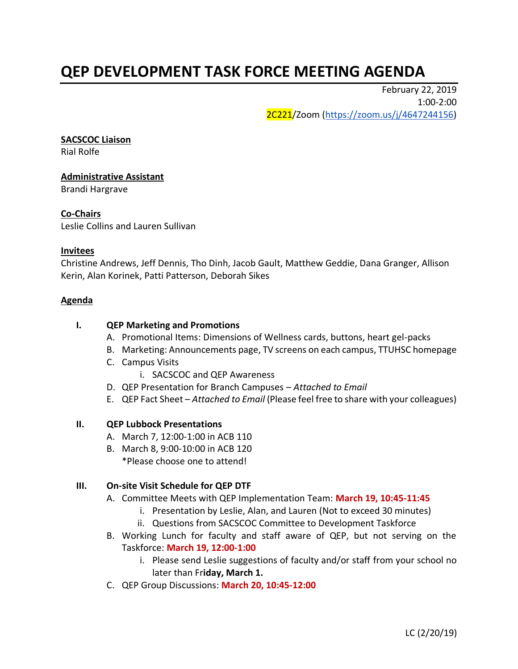# **QEP DEVELOPMENT TASK FORCE MEETING AGENDA**

February 22, 2019 1:00-2:00 2C221/Zoom [\(https://zoom.us/j/4647244156\)](https://zoom.us/j/4647244156)

#### **SACSCOC Liaison**

Rial Rolfe

## **Administrative Assistant** Brandi Hargrave

## **Co-Chairs**

Leslie Collins and Lauren Sullivan

### **Invitees**

Christine Andrews, Jeff Dennis, Tho Dinh, Jacob Gault, Matthew Geddie, Dana Granger, Allison Kerin, Alan Korinek, Patti Patterson, Deborah Sikes

#### **Agenda**

## **I. QEP Marketing and Promotions**

- A. Promotional Items: Dimensions of Wellness cards, buttons, heart gel-packs
- B. Marketing: Announcements page, TV screens on each campus, TTUHSC homepage
- C. Campus Visits
	- i. SACSCOC and QEP Awareness
- D. QEP Presentation for Branch Campuses *Attached to Email*
- E. QEP Fact Sheet *Attached to Email* (Please feel free to share with your colleagues)

#### **II. QEP Lubbock Presentations**

- A. March 7, 12:00-1:00 in ACB 110
- B. March 8, 9:00-10:00 in ACB 120 \*Please choose one to attend!

#### **III. On-site Visit Schedule for QEP DTF**

- A. Committee Meets with QEP Implementation Team: **March 19, 10:45-11:45**
	- i. Presentation by Leslie, Alan, and Lauren (Not to exceed 30 minutes)
	- ii. Questions from SACSCOC Committee to Development Taskforce
- B. Working Lunch for faculty and staff aware of QEP, but not serving on the Taskforce: **March 19, 12:00-1:00**
	- i. Please send Leslie suggestions of faculty and/or staff from your school no later than Fr**iday, March 1.**
- C. QEP Group Discussions: **March 20, 10:45-12:00**